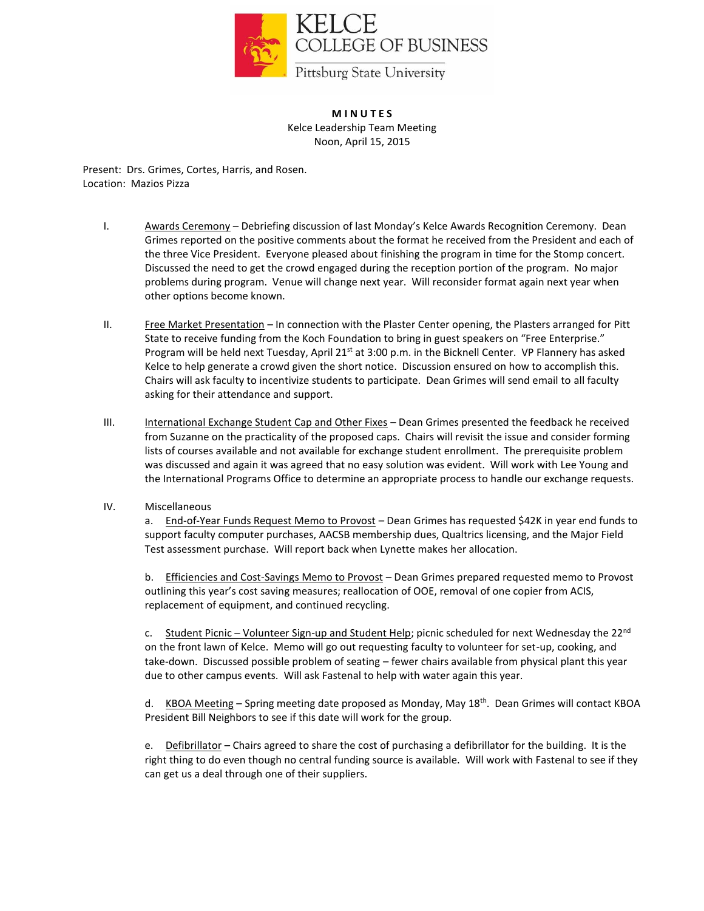

**M I N U T E S** Kelce Leadership Team Meeting Noon, April 15, 2015

Present: Drs. Grimes, Cortes, Harris, and Rosen. Location: Mazios Pizza

- I. Awards Ceremony Debriefing discussion of last Monday's Kelce Awards Recognition Ceremony. Dean Grimes reported on the positive comments about the format he received from the President and each of the three Vice President. Everyone pleased about finishing the program in time for the Stomp concert. Discussed the need to get the crowd engaged during the reception portion of the program. No major problems during program. Venue will change next year. Will reconsider format again next year when other options become known.
- II. Free Market Presentation In connection with the Plaster Center opening, the Plasters arranged for Pitt State to receive funding from the Koch Foundation to bring in guest speakers on "Free Enterprise." Program will be held next Tuesday, April 21<sup>st</sup> at 3:00 p.m. in the Bicknell Center. VP Flannery has asked Kelce to help generate a crowd given the short notice. Discussion ensured on how to accomplish this. Chairs will ask faculty to incentivize students to participate. Dean Grimes will send email to all faculty asking for their attendance and support.
- III. International Exchange Student Cap and Other Fixes Dean Grimes presented the feedback he received from Suzanne on the practicality of the proposed caps. Chairs will revisit the issue and consider forming lists of courses available and not available for exchange student enrollment. The prerequisite problem was discussed and again it was agreed that no easy solution was evident. Will work with Lee Young and the International Programs Office to determine an appropriate process to handle our exchange requests.
- IV. Miscellaneous

a. End-of-Year Funds Request Memo to Provost - Dean Grimes has requested \$42K in year end funds to support faculty computer purchases, AACSB membership dues, Qualtrics licensing, and the Major Field Test assessment purchase. Will report back when Lynette makes her allocation.

b. Efficiencies and Cost-Savings Memo to Provost - Dean Grimes prepared requested memo to Provost outlining this year's cost saving measures; reallocation of OOE, removal of one copier from ACIS, replacement of equipment, and continued recycling.

c. Student Picnic – Volunteer Sign-up and Student Help; picnic scheduled for next Wednesday the 22<sup>nd</sup> on the front lawn of Kelce. Memo will go out requesting faculty to volunteer for set-up, cooking, and take-down. Discussed possible problem of seating – fewer chairs available from physical plant this year due to other campus events. Will ask Fastenal to help with water again this year.

d. KBOA Meeting – Spring meeting date proposed as Monday, May 18<sup>th</sup>. Dean Grimes will contact KBOA President Bill Neighbors to see if this date will work for the group.

e. Defibrillator - Chairs agreed to share the cost of purchasing a defibrillator for the building. It is the right thing to do even though no central funding source is available. Will work with Fastenal to see if they can get us a deal through one of their suppliers.